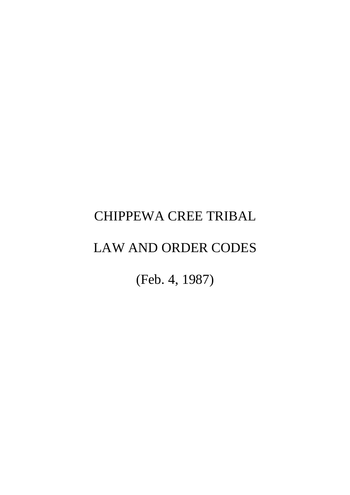# CHIPPEWA CREE TRIBAL

# LAW AND ORDER CODES

(Feb. 4, 1987)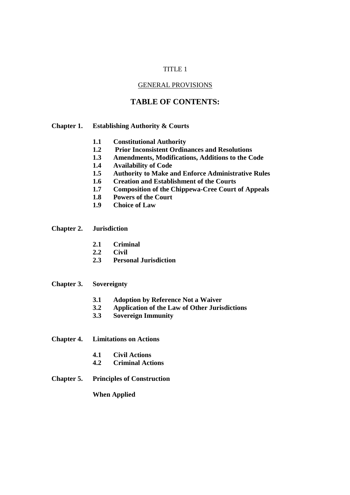#### TITLE 1

#### GENERAL PROVISIONS

# **TABLE OF CONTENTS:**

#### **Chapter 1. Establishing Authority & Courts**

- **1.1 Constitutional Authority**
- **1.2 Prior Inconsistent Ordinances and Resolutions**
- **1.3 Amendments, Modifications, Additions to the Code**
- **1.4 Availability of Code**
- **1.5 Authority to Make and Enforce Administrative Rules**
- **1.6 Creation and Establishment of the Courts**
- **1.7 Composition of the Chippewa-Cree Court of Appeals**
- **1.8 Powers of the Court**
- **1.9 Choice of Law**

#### **Chapter 2. Jurisdiction**

- **2.1 Criminal**
- **2.2 Civil**
- **2.3 Personal Jurisdiction**

#### **Chapter 3. Sovereignty**

- **3.1 Adoption by Reference Not a Waiver**
- **3.2 Application of the Law of Other Jurisdictions**
- **3.3 Sovereign Immunity**

**Chapter 4. Limitations on Actions** 

- **4.1 Civil Actions**
- **4.2 Criminal Actions**

#### **Chapter 5. Principles of Construction**

#### **When Applied**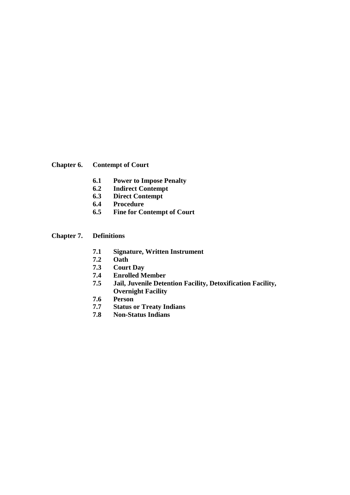**Chapter 6. Contempt of Court** 

- **6.1 Power to Impose Penalty**
- **6.2 Indirect Contempt**
- **6.3 Direct Contempt**
- **6.4 Procedure**
- **6.5 Fine for Contempt of Court**

# **Chapter 7. Definitions**

- **7.1 Signature, Written Instrument**
- **7.2 Oath**
- **7.3 Court Day**
- **7.4 Enrolled Member**
- **7.5 Jail, Juvenile Detention Facility, Detoxification Facility, Overnight Facility**
- **7.6 Person**
- **7.7 Status or Treaty Indians**
- **7.8 Non-Status Indians**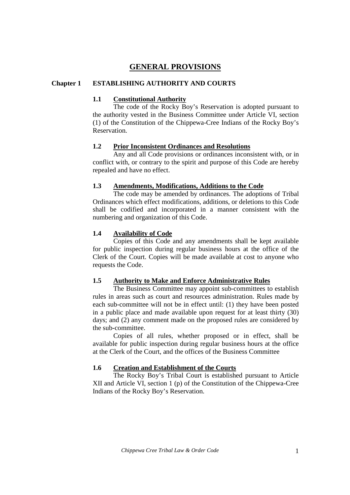# **GENERAL PROVISIONS**

#### **Chapter 1 ESTABLISHING AUTHORITY AND COURTS**

#### **1.1 Constitutional Authority**

The code of the Rocky Boy's Reservation is adopted pursuant to the authority vested in the Business Committee under Article VI, section (1) of the Constitution of the Chippewa-Cree Indians of the Rocky Boy's Reservation.

#### **1.2 Prior Inconsistent Ordinances and Resolutions**

Any and all Code provisions or ordinances inconsistent with, or in conflict with, or contrary to the spirit and purpose of this Code are hereby repealed and have no effect.

#### **1.3 Amendments, Modifications, Additions to the Code**

The code may be amended by ordinances. The adoptions of Tribal Ordinances which effect modifications, additions, or deletions to this Code shall be codified and incorporated in a manner consistent with the numbering and organization of this Code.

#### **1.4 Availability of Code**

Copies of this Code and any amendments shall be kept available for public inspection during regular business hours at the office of the Clerk of the Court. Copies will be made available at cost to anyone who requests the Code.

#### **1.5 Authority to Make and Enforce Administrative Rules**

 The Business Committee may appoint sub-committees to establish rules in areas such as court and resources administration. Rules made by each sub-committee will not be in effect until: (1) they have been posted in a public place and made available upon request for at least thirty (30) days; and (2) any comment made on the proposed rules are considered by the sub-committee.

 Copies of all rules, whether proposed or in effect, shall be available for public inspection during regular business hours at the office at the Clerk of the Court, and the offices of the Business Committee

#### **1.6 Creation and Establishment of the Courts**

The Rocky Boy's Tribal Court is established pursuant to Article XII and Article VI, section 1 (p) of the Constitution of the Chippewa-Cree Indians of the Rocky Boy's Reservation.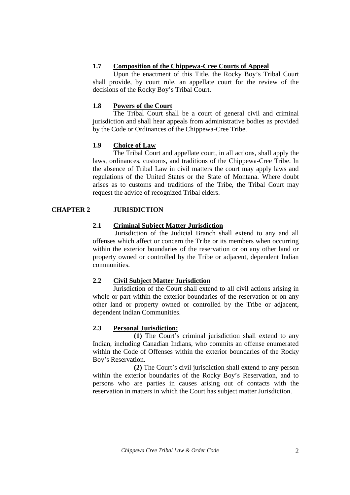# **1.7 Composition of the Chippewa-Cree Courts of Appeal**

Upon the enactment of this Title, the Rocky Boy's Tribal Court shall provide, by court rule, an appellate court for the review of the decisions of the Rocky Boy's Tribal Court.

## **1.8 Powers of the Court**

The Tribal Court shall be a court of general civil and criminal jurisdiction and shall hear appeals from administrative bodies as provided by the Code or Ordinances of the Chippewa-Cree Tribe.

# **1.9 Choice of Law**

The Tribal Court and appellate court, in all actions, shall apply the laws, ordinances, customs, and traditions of the Chippewa-Cree Tribe. In the absence of Tribal Law in civil matters the court may apply laws and regulations of the United States or the State of Montana. Where doubt arises as to customs and traditions of the Tribe, the Tribal Court may request the advice of recognized Tribal elders.

# **CHAPTER 2 JURISDICTION**

# **2.1 Criminal Subject Matter Jurisdiction**

 Jurisdiction of the Judicial Branch shall extend to any and all offenses which affect or concern the Tribe or its members when occurring within the exterior boundaries of the reservation or on any other land or property owned or controlled by the Tribe or adjacent, dependent Indian communities.

# **2.2 Civil Subject Matter Jurisdiction**

 Jurisdiction of the Court shall extend to all civil actions arising in whole or part within the exterior boundaries of the reservation or on any other land or property owned or controlled by the Tribe or adjacent, dependent Indian Communities.

#### **2.3 Personal Jurisdiction:**

 **(1)** The Court's criminal jurisdiction shall extend to any Indian, including Canadian Indians, who commits an offense enumerated within the Code of Offenses within the exterior boundaries of the Rocky Boy's Reservation.

 **(2)** The Court's civil jurisdiction shall extend to any person within the exterior boundaries of the Rocky Boy's Reservation, and to persons who are parties in causes arising out of contacts with the reservation in matters in which the Court has subject matter Jurisdiction.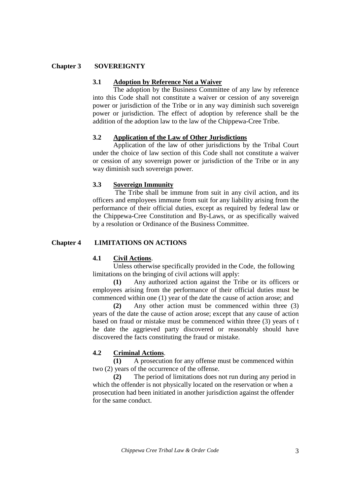#### **Chapter 3 SOVEREIGNTY**

#### **3.1 Adoption by Reference Not a Waiver**

The adoption by the Business Committee of any law by reference into this Code shall not constitute a waiver or cession of any sovereign power or jurisdiction of the Tribe or in any way diminish such sovereign power or jurisdiction. The effect of adoption by reference shall be the addition of the adoption law to the law of the Chippewa-Cree Tribe.

#### **3.2 Application of the Law of Other Jurisdictions**

Application of the law of other jurisdictions by the Tribal Court under the choice of law section of this Code shall not constitute a waiver or cession of any sovereign power or jurisdiction of the Tribe or in any way diminish such sovereign power.

#### **3.3 Sovereign Immunity**

The Tribe shall be immune from suit in any civil action, and its officers and employees immune from suit for any liability arising from the performance of their official duties, except as required by federal law or the Chippewa-Cree Constitution and By-Laws, or as specifically waived by a resolution or Ordinance of the Business Committee.

#### **Chapter 4 LIMITATIONS ON ACTIONS**

#### **4.1 Civil Actions**.

Unless otherwise specifically provided in the Code, the following limitations on the bringing of civil actions will apply:

 **(1)** Any authorized action against the Tribe or its officers or employees arising from the performance of their official duties must be commenced within one (1) year of the date the cause of action arose; and

 **(2)** Any other action must be commenced within three (3) years of the date the cause of action arose; except that any cause of action based on fraud or mistake must be commenced within three (3) years of t he date the aggrieved party discovered or reasonably should have discovered the facts constituting the fraud or mistake.

#### **4.2 Criminal Actions**.

 **(1)** A prosecution for any offense must be commenced within two (2) years of the occurrence of the offense.

 **(2)** The period of limitations does not run during any period in which the offender is not physically located on the reservation or when a prosecution had been initiated in another jurisdiction against the offender for the same conduct.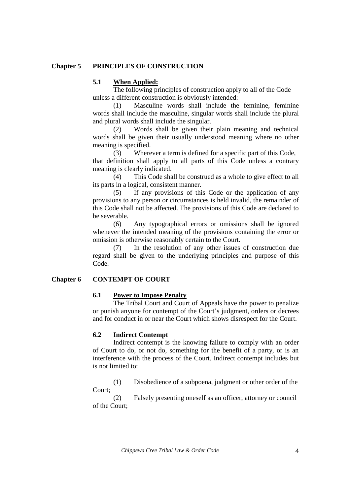#### **Chapter 5 PRINCIPLES OF CONSTRUCTION**

#### **5.1 When Applied:**

The following principles of construction apply to all of the Code unless a different construction is obviously intended:

(1) Masculine words shall include the feminine, feminine words shall include the masculine, singular words shall include the plural and plural words shall include the singular.

 (2) Words shall be given their plain meaning and technical words shall be given their usually understood meaning where no other meaning is specified.

 (3) Wherever a term is defined for a specific part of this Code, that definition shall apply to all parts of this Code unless a contrary meaning is clearly indicated.

 (4) This Code shall be construed as a whole to give effect to all its parts in a logical, consistent manner.

 (5) If any provisions of this Code or the application of any provisions to any person or circumstances is held invalid, the remainder of this Code shall not be affected. The provisions of this Code are declared to be severable.

 (6) Any typographical errors or omissions shall be ignored whenever the intended meaning of the provisions containing the error or omission is otherwise reasonably certain to the Court.

 (7) In the resolution of any other issues of construction due regard shall be given to the underlying principles and purpose of this Code.

#### **Chapter 6 CONTEMPT OF COURT**

#### **6.1 Power to Impose Penalty**

The Tribal Court and Court of Appeals have the power to penalize or punish anyone for contempt of the Court's judgment, orders or decrees and for conduct in or near the Court which shows disrespect for the Court.

#### **6.2 Indirect Contempt**

Indirect contempt is the knowing failure to comply with an order of Court to do, or not do, something for the benefit of a party, or is an interference with the process of the Court. Indirect contempt includes but is not limited to:

 (1) Disobedience of a subpoena, judgment or other order of the Court;

 (2) Falsely presenting oneself as an officer, attorney or council of the Court;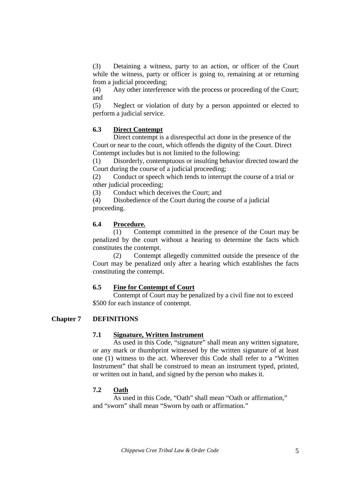(3) Detaining a witness, party to an action, or officer of the Court while the witness, party or officer is going to, remaining at or returning from a judicial proceeding;

 (4) Any other interference with the process or proceeding of the Court; and

 (5) Neglect or violation of duty by a person appointed or elected to perform a judicial service.

# **6.3 Direct Contempt**

Direct contempt is a disrespectful act done in the presence of the Court or near to the court, which offends the dignity of the Court. Direct Contempt includes but is not limited to the following:

 (1) Disorderly, contemptuous or insulting behavior directed toward the Court during the course of a judicial proceeding;

 (2) Conduct or speech which tends to interrupt the course of a trial or other judicial proceeding;

(3) Conduct which deceives the Court; and

 (4) Disobedience of the Court during the course of a judicial proceeding.

# **6.4 Procedure.**

 (1) Contempt committed in the presence of the Court may be penalized by the court without a hearing to determine the facts which constitutes the contempt.

 (2) Contempt allegedly committed outside the presence of the Court may be penalized only after a hearing which establishes the facts constituting the contempt.

# **6.5 Fine for Contempt of Court**

 Contempt of Court may be penalized by a civil fine not to exceed \$500 for each instance of contempt.

# **Chapter 7 DEFINITIONS**

#### **7.1 Signature, Written Instrument**

As used in this Code, "signature" shall mean any written signature, or any mark or thumbprint witnessed by the written signature of at least one (1) witness to the act. Wherever this Code shall refer to a "Written Instrument" that shall be construed to mean an instrument typed, printed, or written out in hand, and signed by the person who makes it.

# **7.2 Oath**

As used in this Code, "Oath" shall mean "Oath or affirmation," and "sworn" shall mean "Sworn by oath or affirmation."